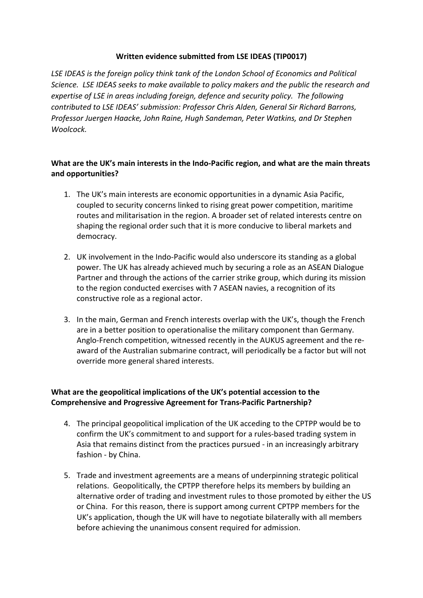### **Written evidence submitted from LSE IDEAS (TIP0017)**

*LSE IDEAS is the foreign policy think tank of the London School of Economics and Political Science. LSE IDEAS seeks to make available to policy makers and the public the research and expertise of LSE in areas including foreign, defence and security policy. The following contributed to LSE IDEAS' submission: Professor Chris Alden, General Sir Richard Barrons, Professor Juergen Haacke, John Raine, Hugh Sandeman, Peter Watkins, and Dr Stephen Woolcock.*

# **What are the UK's main interests in the Indo-Pacific region, and what are the main threats and opportunities?**

- 1. The UK's main interests are economic opportunities in a dynamic Asia Pacific, coupled to security concerns linked to rising great power competition, maritime routes and militarisation in the region. A broader set of related interests centre on shaping the regional order such that it is more conducive to liberal markets and democracy.
- 2. UK involvement in the Indo-Pacific would also underscore its standing as a global power. The UK has already achieved much by securing a role as an ASEAN Dialogue Partner and through the actions of the carrier strike group, which during its mission to the region conducted exercises with 7 ASEAN navies, a recognition of its constructive role as a regional actor.
- 3. In the main, German and French interests overlap with the UK's, though the French are in a better position to operationalise the military component than Germany. Anglo-French competition, witnessed recently in the AUKUS agreement and the reaward of the Australian submarine contract, will periodically be a factor but will not override more general shared interests.

# **What are the geopolitical implications of the UK's potential accession to the Comprehensive and Progressive Agreement for Trans-Pacific Partnership?**

- 4. The principal geopolitical implication of the UK acceding to the CPTPP would be to confirm the UK's commitment to and support for a rules-based trading system in Asia that remains distinct from the practices pursued - in an increasingly arbitrary fashion - by China.
- 5. Trade and investment agreements are a means of underpinning strategic political relations. Geopolitically, the CPTPP therefore helps its members by building an alternative order of trading and investment rules to those promoted by either the US or China. For this reason, there is support among current CPTPP members for the UK's application, though the UK will have to negotiate bilaterally with all members before achieving the unanimous consent required for admission.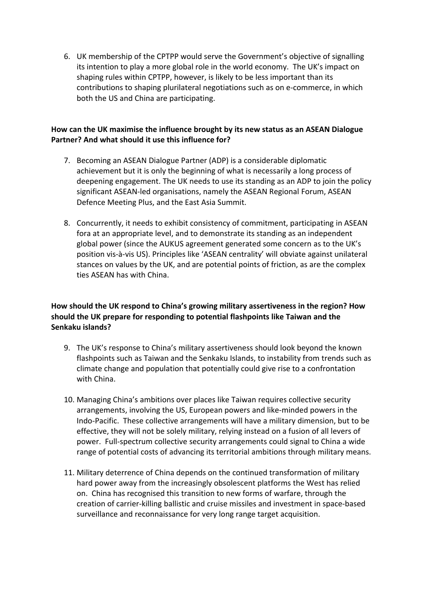6. UK membership of the CPTPP would serve the Government's objective of signalling its intention to play a more global role in the world economy. The UK's impact on shaping rules within CPTPP, however, is likely to be less important than its contributions to shaping plurilateral negotiations such as on e-commerce, in which both the US and China are participating.

# **How can the UK maximise the influence brought by its new status as an ASEAN Dialogue Partner? And what should it use this influence for?**

- 7. Becoming an ASEAN Dialogue Partner (ADP) is a considerable diplomatic achievement but it is only the beginning of what is necessarily a long process of deepening engagement. The UK needs to use its standing as an ADP to join the policy significant ASEAN-led organisations, namely the ASEAN Regional Forum, ASEAN Defence Meeting Plus, and the East Asia Summit.
- 8. Concurrently, it needs to exhibit consistency of commitment, participating in ASEAN fora at an appropriate level, and to demonstrate its standing as an independent global power (since the AUKUS agreement generated some concern as to the UK's position vis-à-vis US). Principles like 'ASEAN centrality' will obviate against unilateral stances on values by the UK, and are potential points of friction, as are the complex ties ASEAN has with China.

# **How should the UK respond to China's growing military assertiveness in the region? How should the UK prepare for responding to potential flashpoints like Taiwan and the Senkaku islands?**

- 9. The UK's response to China's military assertiveness should look beyond the known flashpoints such as Taiwan and the Senkaku Islands, to instability from trends such as climate change and population that potentially could give rise to a confrontation with China.
- 10. Managing China's ambitions over places like Taiwan requires collective security arrangements, involving the US, European powers and like-minded powers in the Indo-Pacific. These collective arrangements will have a military dimension, but to be effective, they will not be solely military, relying instead on a fusion of all levers of power. Full-spectrum collective security arrangements could signal to China a wide range of potential costs of advancing its territorial ambitions through military means.
- 11. Military deterrence of China depends on the continued transformation of military hard power away from the increasingly obsolescent platforms the West has relied on. China has recognised this transition to new forms of warfare, through the creation of carrier-killing ballistic and cruise missiles and investment in space-based surveillance and reconnaissance for very long range target acquisition.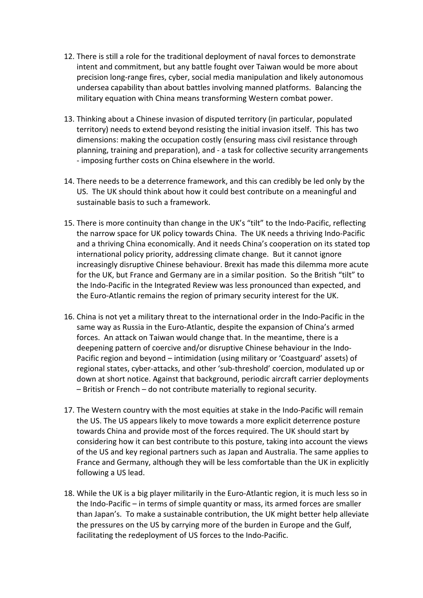- 12. There is still a role for the traditional deployment of naval forces to demonstrate intent and commitment, but any battle fought over Taiwan would be more about precision long-range fires, cyber, social media manipulation and likely autonomous undersea capability than about battles involving manned platforms. Balancing the military equation with China means transforming Western combat power.
- 13. Thinking about a Chinese invasion of disputed territory (in particular, populated territory) needs to extend beyond resisting the initial invasion itself. This has two dimensions: making the occupation costly (ensuring mass civil resistance through planning, training and preparation), and - a task for collective security arrangements - imposing further costs on China elsewhere in the world.
- 14. There needs to be a deterrence framework, and this can credibly be led only by the US. The UK should think about how it could best contribute on a meaningful and sustainable basis to such a framework.
- 15. There is more continuity than change in the UK's "tilt" to the Indo-Pacific, reflecting the narrow space for UK policy towards China. The UK needs a thriving Indo-Pacific and a thriving China economically. And it needs China's cooperation on its stated top international policy priority, addressing climate change. But it cannot ignore increasingly disruptive Chinese behaviour. Brexit has made this dilemma more acute for the UK, but France and Germany are in a similar position. So the British "tilt" to the Indo-Pacific in the Integrated Review was less pronounced than expected, and the Euro-Atlantic remains the region of primary security interest for the UK.
- 16. China is not yet a military threat to the international order in the Indo-Pacific in the same way as Russia in the Euro-Atlantic, despite the expansion of China's armed forces. An attack on Taiwan would change that. In the meantime, there is a deepening pattern of coercive and/or disruptive Chinese behaviour in the Indo-Pacific region and beyond – intimidation (using military or 'Coastguard' assets) of regional states, cyber-attacks, and other 'sub-threshold' coercion, modulated up or down at short notice. Against that background, periodic aircraft carrier deployments – British or French – do not contribute materially to regional security.
- 17. The Western country with the most equities at stake in the Indo-Pacific will remain the US. The US appears likely to move towards a more explicit deterrence posture towards China and provide most of the forces required. The UK should start by considering how it can best contribute to this posture, taking into account the views of the US and key regional partners such as Japan and Australia. The same applies to France and Germany, although they will be less comfortable than the UK in explicitly following a US lead.
- 18. While the UK is a big player militarily in the Euro-Atlantic region, it is much less so in the Indo-Pacific – in terms of simple quantity or mass, its armed forces are smaller than Japan's. To make a sustainable contribution, the UK might better help alleviate the pressures on the US by carrying more of the burden in Europe and the Gulf, facilitating the redeployment of US forces to the Indo-Pacific.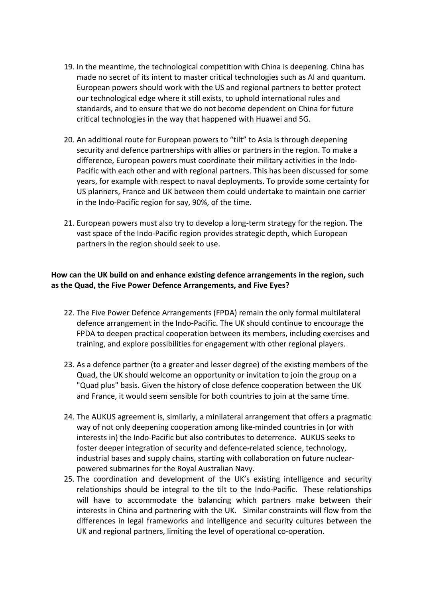- 19. In the meantime, the technological competition with China is deepening. China has made no secret of its intent to master critical technologies such as AI and quantum. European powers should work with the US and regional partners to better protect our technological edge where it still exists, to uphold international rules and standards, and to ensure that we do not become dependent on China for future critical technologies in the way that happened with Huawei and 5G.
- 20. An additional route for European powers to "tilt" to Asia is through deepening security and defence partnerships with allies or partners in the region. To make a difference, European powers must coordinate their military activities in the Indo-Pacific with each other and with regional partners. This has been discussed for some years, for example with respect to naval deployments. To provide some certainty for US planners, France and UK between them could undertake to maintain one carrier in the Indo-Pacific region for say, 90%, of the time.
- 21. European powers must also try to develop a long-term strategy for the region. The vast space of the Indo-Pacific region provides strategic depth, which European partners in the region should seek to use.

### **How can the UK build on and enhance existing defence arrangements in the region, such as the Quad, the Five Power Defence Arrangements, and Five Eyes?**

- 22. The Five Power Defence Arrangements (FPDA) remain the only formal multilateral defence arrangement in the Indo-Pacific. The UK should continue to encourage the FPDA to deepen practical cooperation between its members, including exercises and training, and explore possibilities for engagement with other regional players.
- 23. As a defence partner (to a greater and lesser degree) of the existing members of the Quad, the UK should welcome an opportunity or invitation to join the group on a "Quad plus" basis. Given the history of close defence cooperation between the UK and France, it would seem sensible for both countries to join at the same time.
- 24. The AUKUS agreement is, similarly, a minilateral arrangement that offers a pragmatic way of not only deepening cooperation among like-minded countries in (or with interests in) the Indo-Pacific but also contributes to deterrence. AUKUS seeks to foster deeper integration of security and defence-related science, technology, industrial bases and supply chains, starting with collaboration on future nuclearpowered submarines for the Royal Australian Navy.
- 25. The coordination and development of the UK's existing intelligence and security relationships should be integral to the tilt to the Indo-Pacific. These relationships will have to accommodate the balancing which partners make between their interests in China and partnering with the UK. Similar constraints will flow from the differences in legal frameworks and intelligence and security cultures between the UK and regional partners, limiting the level of operational co-operation.